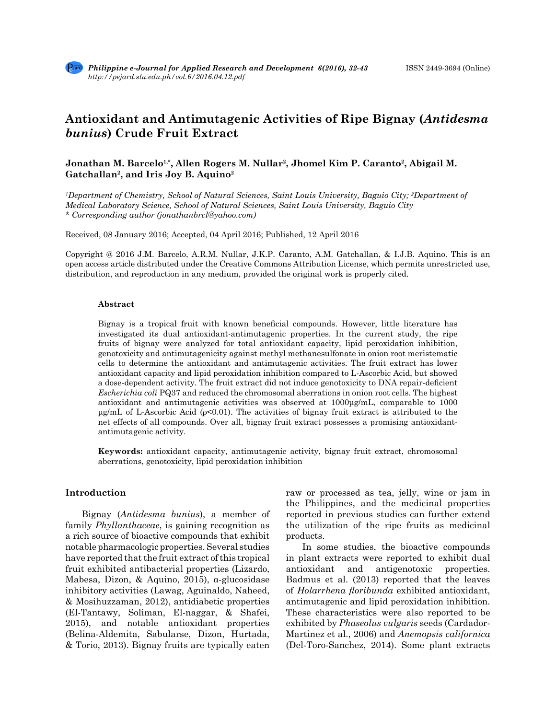# **Antioxidant and Antimutagenic Activities of Ripe Bignay (***Antidesma bunius***) Crude Fruit Extract**

# Jonathan M. Barcelo<sup>1,\*</sup>, Allen Rogers M. Nullar<sup>2</sup>, Jhomel Kim P. Caranto<sup>2</sup>, Abigail M. **Gatchallan2, and Iris Joy B. Aquino2**

*1 Department of Chemistry, School of Natural Sciences, Saint Louis University, Baguio City; 2 Department of Medical Laboratory Science, School of Natural Sciences, Saint Louis University, Baguio City \* Corresponding author (jonathanbrcl@yahoo.com)*

Received, 08 January 2016; Accepted, 04 April 2016; Published, 12 April 2016

Copyright @ 2016 J.M. Barcelo, A.R.M. Nullar, J.K.P. Caranto, A.M. Gatchallan, & I.J.B. Aquino. This is an open access article distributed under the Creative Commons Attribution License, which permits unrestricted use, distribution, and reproduction in any medium, provided the original work is properly cited.

#### **Abstract**

Bignay is a tropical fruit with known beneficial compounds. However, little literature has investigated its dual antioxidant-antimutagenic properties. In the current study, the ripe fruits of bignay were analyzed for total antioxidant capacity, lipid peroxidation inhibition, genotoxicity and antimutagenicity against methyl methanesulfonate in onion root meristematic cells to determine the antioxidant and antimutagenic activities. The fruit extract has lower antioxidant capacity and lipid peroxidation inhibition compared to L-Ascorbic Acid, but showed a dose-dependent activity. The fruit extract did not induce genotoxicity to DNA repair-deficient *Escherichia coli* PQ37 and reduced the chromosomal aberrations in onion root cells. The highest antioxidant and antimutagenic activities was observed at 1000μg/mL, comparable to 1000 μg/mL of L-Ascorbic Acid ( $ρ<0.01$ ). The activities of bignay fruit extract is attributed to the net effects of all compounds. Over all, bignay fruit extract possesses a promising antioxidantantimutagenic activity.

**Keywords:** antioxidant capacity, antimutagenic activity, bignay fruit extract, chromosomal aberrations, genotoxicity, lipid peroxidation inhibition

#### **Introduction**

Bignay (*Antidesma bunius*), a member of family *Phyllanthaceae*, is gaining recognition as a rich source of bioactive compounds that exhibit notable pharmacologic properties. Several studies have reported that the fruit extract of this tropical fruit exhibited antibacterial properties (Lizardo, Mabesa, Dizon, & Aquino, 2015), α-glucosidase inhibitory activities (Lawag, Aguinaldo, Naheed, & Mosihuzzaman, 2012), antidiabetic properties (El-Tantawy, Soliman, El-naggar, & Shafei, 2015), and notable antioxidant properties (Belina-Aldemita, Sabularse, Dizon, Hurtada, & Torio, 2013). Bignay fruits are typically eaten raw or processed as tea, jelly, wine or jam in the Philippines, and the medicinal properties reported in previous studies can further extend the utilization of the ripe fruits as medicinal products.

In some studies, the bioactive compounds in plant extracts were reported to exhibit dual antioxidant and antigenotoxic properties. Badmus et al. (2013) reported that the leaves of *Holarrhena floribunda* exhibited antioxidant, antimutagenic and lipid peroxidation inhibition. These characteristics were also reported to be exhibited by *Phaseolus vulgaris* seeds (Cardador-Martinez et al., 2006) and *Anemopsis californica* (Del-Toro-Sanchez, 2014). Some plant extracts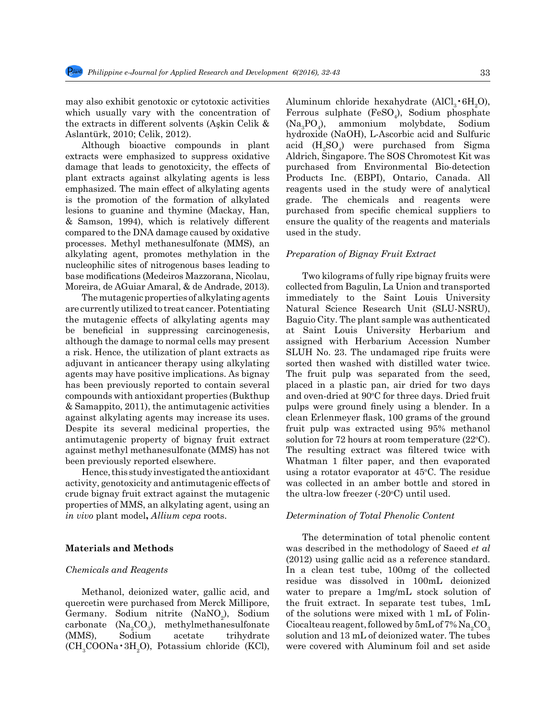may also exhibit genotoxic or cytotoxic activities which usually vary with the concentration of the extracts in different solvents (Aşkin Celik & Aslantürk, 2010; Celik, 2012).

Although bioactive compounds in plant extracts were emphasized to suppress oxidative damage that leads to genotoxicity, the effects of plant extracts against alkylating agents is less emphasized. The main effect of alkylating agents is the promotion of the formation of alkylated lesions to guanine and thymine (Mackay, Han, & Samson, 1994), which is relatively different compared to the DNA damage caused by oxidative processes. Methyl methanesulfonate (MMS), an alkylating agent, promotes methylation in the nucleophilic sites of nitrogenous bases leading to base modifications (Medeiros Mazzorana, Nicolau, Moreira, de AGuiar Amaral, & de Andrade, 2013).

The mutagenic properties of alkylating agents are currently utilized to treat cancer. Potentiating the mutagenic effects of alkylating agents may be beneficial in suppressing carcinogenesis, although the damage to normal cells may present a risk. Hence, the utilization of plant extracts as adjuvant in anticancer therapy using alkylating agents may have positive implications. As bignay has been previously reported to contain several compounds with antioxidant properties (Bukthup & Samappito, 2011), the antimutagenic activities against alkylating agents may increase its uses. Despite its several medicinal properties, the antimutagenic property of bignay fruit extract against methyl methanesulfonate (MMS) has not been previously reported elsewhere.

Hence, this study investigated the antioxidant activity, genotoxicity and antimutagenic effects of crude bignay fruit extract against the mutagenic properties of MMS, an alkylating agent, using an *in vivo* plant model**,** *Allium cepa* roots.

## **Materials and Methods**

#### *Chemicals and Reagents*

Methanol, deionized water, gallic acid, and quercetin were purchased from Merck Millipore, Germany. Sodium nitrite (NaNO<sub>2</sub>), Sodium carbonate  $(Na_2CO_3)$ <br>(MMS), Sodium  $CO<sub>3</sub>$ ), methylmethanesulfonate acetate trihydrate  $(CH<sub>3</sub>COONa \cdot 3H<sub>2</sub>O)$ , Potassium chloride (KCl),

Aluminum chloride hexahydrate  $(AICl_3 \cdot 6H_2O)$ , Ferrous sulphate (FeSO<sub>4</sub>), Sodium phosphate  $(Na_3PO_4)$ ), ammonium molybdate, Sodium hydroxide (NaOH), L-Ascorbic acid and Sulfuric acid  $(H_2SO_4)$  were purchased from Sigma Aldrich, Singapore. The SOS Chromotest Kit was purchased from Environmental Bio-detection Products Inc. (EBPI), Ontario, Canada. All reagents used in the study were of analytical grade. The chemicals and reagents were purchased from specific chemical suppliers to ensure the quality of the reagents and materials used in the study.

# *Preparation of Bignay Fruit Extract*

Two kilograms of fully ripe bignay fruits were collected from Bagulin, La Union and transported immediately to the Saint Louis University Natural Science Research Unit (SLU-NSRU), Baguio City. The plant sample was authenticated at Saint Louis University Herbarium and assigned with Herbarium Accession Number SLUH No. 23. The undamaged ripe fruits were sorted then washed with distilled water twice. The fruit pulp was separated from the seed, placed in a plastic pan, air dried for two days and oven-dried at 90°C for three days. Dried fruit pulps were ground finely using a blender. In a clean Erlenmeyer flask, 100 grams of the ground fruit pulp was extracted using 95% methanol solution for  $72$  hours at room temperature ( $22^{\circ}$ C). The resulting extract was filtered twice with Whatman 1 filter paper, and then evaporated using a rotator evaporator at  $45^{\circ}$ C. The residue was collected in an amber bottle and stored in the ultra-low freezer (-20°C) until used.

#### *Determination of Total Phenolic Content*

The determination of total phenolic content was described in the methodology of Saeed *et al* (2012) using gallic acid as a reference standard. In a clean test tube, 100mg of the collected residue was dissolved in 100mL deionized water to prepare a 1mg/mL stock solution of the fruit extract. In separate test tubes, 1mL of the solutions were mixed with 1 mL of Folin-Ciocalteau reagent, followed by  $5 \rm{m} L$  of 7%  $\rm{Na_{2}CO_{3}}$ solution and 13 mL of deionized water. The tubes were covered with Aluminum foil and set aside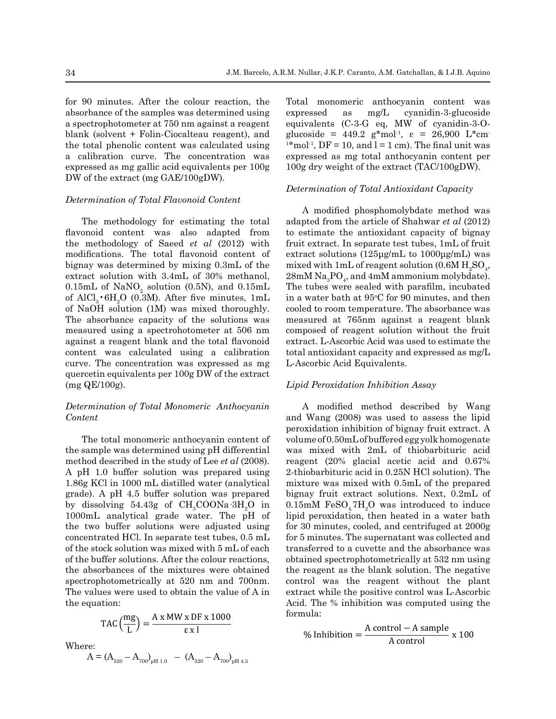for 90 minutes. After the colour reaction, the absorbance of the samples was determined using a spectrophotometer at 750 nm against a reagent blank (solvent + Folin-Ciocalteau reagent), and the total phenolic content was calculated using a calibration curve. The concentration was expressed as mg gallic acid equivalents per 100g DW of the extract (mg GAE/100gDW).

#### *Determination of Total Flavonoid Content*

The methodology for estimating the total flavonoid content was also adapted from the methodology of Saeed *et al* (2012) with modifications. The total flavonoid content of bignay was determined by mixing 0.3mL of the extract solution with 3.4mL of 30% methanol, 0.15mL of  $\text{NaNO}_2$  solution (0.5N), and 0.15mL of  $\text{AlCl}_3$  6H<sub>2</sub>O (0.3M). After five minutes, 1mL in a water bath of NaOH solution  $(1M)$  was mixed thoroughly. cooled to room t The absorbance capacity of the solutions was measured at 7 measured using a spectrohotometer at 506 nm composed of re against a reagent blank and the total flavonoid extract. L-Ascor content was calculated using a calibration total antioxidar curve. The concentration was expressed as mg quercetin equivalents per 100g DW of the extract  $(mg \text{ QE}/100g)$ .

# *Determination of Total Monomeric Anthocyanin* A modified *Content*

The total monomeric anthocyanin content of volume of 0.50m the sample was determined using pH differential was mixed wi method described in the study of Lee  $et$   $al$  (2008). reagent (20%) A pH 1.0 buffer solution was prepared using 1.86g KCl in 1000 mL distilled water (analytical mixtu grade). A pH 4.5 buffer solution was prepared by dissolving 54.43g of CH<sub>3</sub>COONa<sup>-3H<sub>2</sub>O in</sup>  $1000 \text{mL}$  analytical grade water. The  $p^2$ H of lipid peroxidation the two buffer solutions were adjusted using for 30 minutes, concentrated HCl. In separate test tubes,  $0.5$  mL for 5 minutes. T of the stock solution was mixed with  $5 \text{ mL}$  of each transferred to analytical grade water. The pH of each transferred to analytical grade with  $5 \text{ mL}$  of each of the buffer solutions. After the colour reactions, obtained spectrated to  $\epsilon$ the absorbances of the mixtures were obtained the reagent as spectrophotometrically at 520 nm and 700nm. control was t Spectrophotometrically at 520 nm and Toom. the equation:

$$
TAC\left(\frac{mg}{L}\right) = \frac{A \times MW \times DF \times 1000}{\epsilon \times 1}
$$
  
rec:

Wher

 $A = (A_{520} - A_{700})_{pH 1.0}$  –  $(A_{520} - A_{700})_{pH 4.5}$ 

Total monomeric anthocyanin content was expressed as mg/L cyanidin-3-glucoside equivalents (C-3-G eq, MW of cyanidin-3-Oglucoside = 449.2 g\*mol<sup>-1</sup>,  $\varepsilon$  = 26,900 L\*cm <sup>1\*</sup> mol<sup>-1</sup>, DF = 10, and l = 1 cm). The final unit was expressed as mg total anthocyanin content per 100g dry weight of the extract (TAC/100gDW).

#### *Determination of Total Antioxidant Capacity*

 $28 \text{mM Na}_3 \text{PO}_4$ , and  $4 \text{mM}$  ammonium molybdate). A modified phosphomolybdate method was adapted from the article of Shahwar *et al* (2012) to estimate the antioxidant capacity of bignay fruit extract. In separate test tubes, 1mL of fruit extract solutions (125μg/mL to 1000μg/mL) was mixed with 1mL of reagent solution  $(0.6M H<sub>2</sub>SO<sub>4</sub>)$ , The tubes were sealed with parafilm, incubated in a water bath at 95°C for 90 minutes, and then cooled to room temperature. The absorbance was measured at 765nm against a reagent blank composed of reagent solution without the fruit extract. L-Ascorbic Acid was used to estimate the total antioxidant capacity and expressed as mg/L L-Ascorbic Acid Equivalents.

#### *Lipid Peroxidation Inhibition Assay*

 $Content$  and Wang (2008) was used to assess the lipid peroxidation inhibition of bignay fruit extract. A A modified method described by Wang anin content of volume of  $0.50$ mL of buffered egg yolk homogenate was mixed with  $2mL$  of thiobarbituric acid ee *et al* (2008). reagent (20% glacial acetic acid and 0.67% repared using 2-thiobarbituric acid in  $0.25N$  HCl solution). The mixture was mixed with 0.5mL of the prepared bignay fruit extract solutions. Next, 0.2mL of  $100\text{Na} \cdot 3\text{H}_2\text{O}$  in 0.15mM  $\text{FeSO}_4 \cdot 7\text{H}_2\text{O}$  was introduced to induce A model of the pH of lipid peroxidation, then heated in a water bath For  $\frac{1}{2}$  increases the matrix of buffered equals homogeneous distribution of  $\frac{1}{2}$  in the volume of  $\frac{1}{2}$  in the volume of  $\frac{1}{2}$  in the volume of  $\frac{1}{2}$  in the volume of  $\frac{1}{2}$  in the volume of  $\frac{$ for  $\frac{1}{20}$  and  $\frac{1}{2000}$  and  $\frac{1}{2000}$  and  $\frac{1}{2000}$  and  $\frac{1}{2000}$  and  $\frac{1}{2000}$  and  $\frac{1}{2000}$  and  $\frac{1}{2000}$  and  $\frac{1}{2000}$  and  $\frac{1}{2000}$  and  $\frac{1}{2000}$  and  $\frac{1}{2000}$  and  $\frac{1}{2000}$  an transferred to a cuvette and the absorbance was  $\frac{1}{2}$ . The supermatant was concered and  $\frac{1}{2}$ . of the small of each contains the spectrophotometrically at 532 nm using intervals. from reactions, solution, the reagent as the blank solution. The negative were obtained the reagent as the blank solution. The hegative<br>m and 700nm. control was the reagent without the plant e value of A in extract while the positive control was L-Ascorbic  $\Lambda$  in  $\mathbb{R}^n$ Acid. The  $%$  inhibition was computed using the formula:  $\alpha$  and  $\alpha$  for  $\alpha$  is  $\alpha$  is  $\alpha$  is the reagent without site.

$$
\% Inhibition = \frac{A control - A sample}{A control} \times 100
$$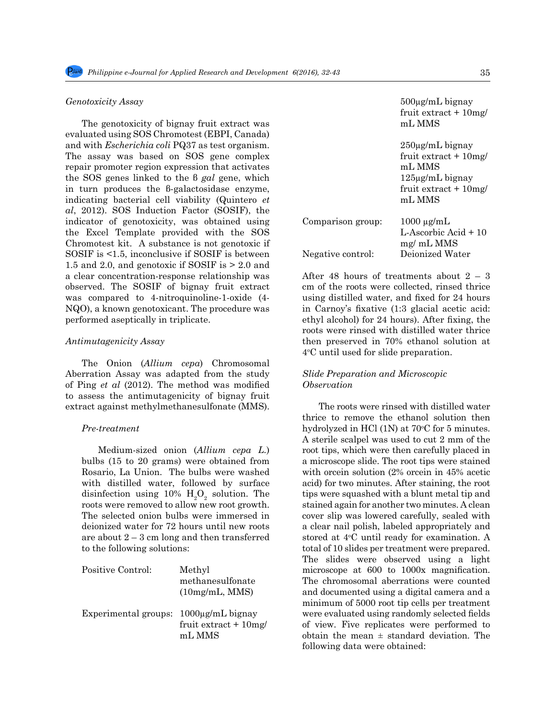#### *Genotoxicity Assay*

The genotoxicity of bignay fruit extract was evaluated using SOS Chromotest (EBPI, Canada) and with *Escherichia coli* PQ37 as test organism. The assay was based on SOS gene complex repair promoter region expression that activates the SOS genes linked to the β *gal* gene, which in turn produces the β-galactosidase enzyme, indicating bacterial cell viability (Quintero *et al*, 2012). SOS Induction Factor (SOSIF), the indicator of genotoxicity, was obtained using the Excel Template provided with the SOS Chromotest kit. A substance is not genotoxic if SOSIF is <1.5, inconclusive if SOSIF is between 1.5 and 2.0, and genotoxic if SOSIF is > 2.0 and a clear concentration-response relationship was observed. The SOSIF of bignay fruit extract was compared to 4-nitroquinoline-1-oxide (4- NQO), a known genotoxicant. The procedure was performed aseptically in triplicate.

#### *Antimutagenicity Assay*

The Onion (*Allium cepa*) Chromosomal Aberration Assay was adapted from the study of Ping *et al* (2012). The method was modified to assess the antimutagenicity of bignay fruit extract against methylmethanesulfonate (MMS).

#### *Pre-treatment*

Medium-sized onion (*Allium cepa L.*) bulbs (15 to 20 grams) were obtained from Rosario, La Union. The bulbs were washed with distilled water, followed by surface disinfection using 10%  $H_2O_2$  solution. The roots were removed to allow new root growth. The selected onion bulbs were immersed in deionized water for 72 hours until new roots are about  $2 - 3$  cm long and then transferred to the following solutions:

| Positive Control:    | Methyl<br>methanesulfonate<br>(10mg/mL, MMS)               |
|----------------------|------------------------------------------------------------|
| Experimental groups: | $1000\mu$ g/mL bignay<br>fruit extract $+10$ mg/<br>mL MMS |

500µg/mL bignay fruit extract + 10mg/ mL MMS 250µg/mL bignay fruit extract + 10mg/ mL MMS 125µg/mL bignay fruit extract + 10mg/ mL MMS Comparison group: 1000 µg/mL L-Ascorbic Acid + 10 mg/ mL MMS Negative control: Deionized Water

After 48 hours of treatments about 2 – 3 cm of the roots were collected, rinsed thrice using distilled water, and fixed for 24 hours in Carnoy's fixative (1:3 glacial acetic acid: ethyl alcohol) for 24 hours). After fixing, the roots were rinsed with distilled water thrice then preserved in 70% ethanol solution at 4o C until used for slide preparation.

# *Slide Preparation and Microscopic Observation*

The roots were rinsed with distilled water thrice to remove the ethanol solution then hydrolyzed in HCl (1N) at 70°C for 5 minutes. A sterile scalpel was used to cut 2 mm of the root tips, which were then carefully placed in a microscope slide. The root tips were stained with orcein solution (2% orcein in 45% acetic acid) for two minutes. After staining, the root tips were squashed with a blunt metal tip and stained again for another two minutes. A clean cover slip was lowered carefully, sealed with a clear nail polish, labeled appropriately and stored at 4°C until ready for examination. A total of 10 slides per treatment were prepared. The slides were observed using a light microscope at 600 to 1000x magnification. The chromosomal aberrations were counted and documented using a digital camera and a minimum of 5000 root tip cells per treatment were evaluated using randomly selected fields of view. Five replicates were performed to obtain the mean  $\pm$  standard deviation. The following data were obtained: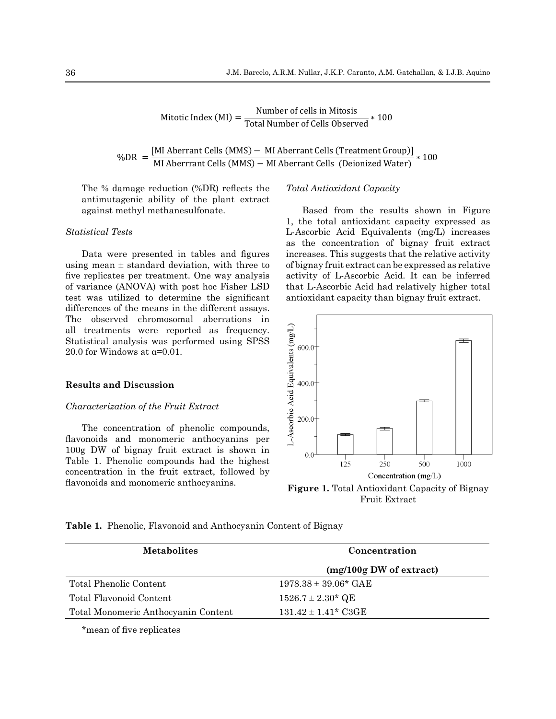Mitotic Index (MI) =  $\frac{\text{Number of cells in Mitosis}}{\text{Total Number of Cells Observed}} * 100$ 

%DR = [MI Aberrant Cells (MMS) − MI Aberrant Cells (Treatment Group)]<br>MI Aberrrant Cells (MMS) − MI Aberrant Cells (Deionized Water) \* 100

 $T_{\text{D}}$  denotes the anti-density reflects the anti-density of the plant extract antimutagenic ability of the plant extract. The % damage reduction (%DR) reflects the against methyl methanesulfonate.

# *Statistical Tests Statistical Tests*

five replicates per treatment. One way analysis activity of I Data were presented in tables and figures using mean  $\pm$  standard deviation, with three to of variance (ANOVA) with post hoc Fisher LSD test was utilized to determine the significant differences of the means in the different assays. The observed chromosomal aberrations in all treatments were reported as frequency. Statistical analysis was performed using SPSS 20.0 for Windows at  $\alpha$ =0.01.

# **Results and Discussion**

#### *Characterization of the Fruit Extract*

The concentration of phenolic compounds, flavonoids and monomeric anthocyanins per 100g DW of bignay fruit extract is shown in Table 1. Phenolic compounds had the highest concentration in the fruit extract, followed by flavonoids and monomeric anthocyanins.

#### *Total Antioxidant Capacity*

L-Ascorbic Acid Equivalents (mg/L) increases  $\alpha$  as the concentration of bignay fruit extract a were presented in tables and figures increases. This suggests that the relative activity  $e$ ean  $\pm$  standard deviation, with three to of bignay fruit extract can be expressed as relative Based from the results shown in Figure 1, the total antioxidant capacity expressed as activity of L-Ascorbic Acid. It can be inferred that L-Ascorbic Acid had relatively higher total antioxidant capacity than bignay fruit extract.



**Figure 1.** Total Antioxidant Capacity of Bignay Fruit Extract

|  |  |  |  |  | <b>Table 1.</b> Phenolic, Flavonoid and Anthocyanin Content of Bignay |
|--|--|--|--|--|-----------------------------------------------------------------------|
|--|--|--|--|--|-----------------------------------------------------------------------|

| <b>Metabolites</b>                  | Concentration             |  |  |  |  |
|-------------------------------------|---------------------------|--|--|--|--|
|                                     | $(mg/100g$ DW of extract) |  |  |  |  |
| Total Phenolic Content              | $1978.38 \pm 39.06^*$ GAE |  |  |  |  |
| Total Flavonoid Content             | $1526.7 \pm 2.30^*$ QE    |  |  |  |  |
| Total Monomeric Anthocyanin Content | $131.42 \pm 1.41^*$ C3GE  |  |  |  |  |

\*mean of five replicates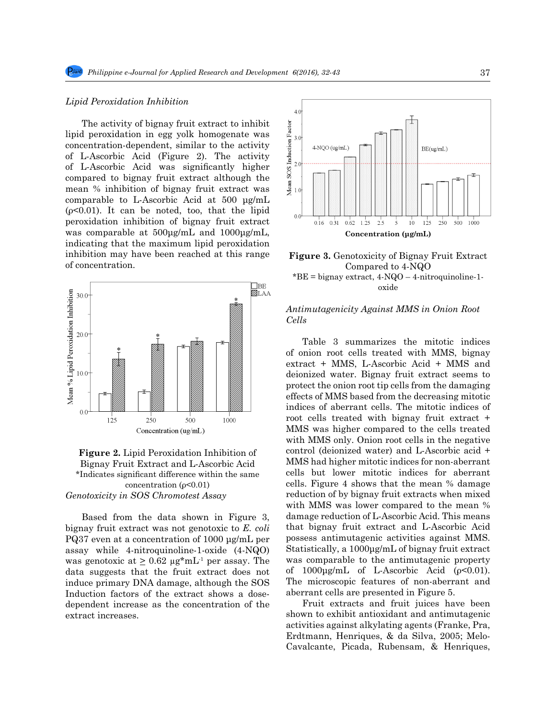#### *Lipid Peroxidation Inhibition*

The activity of bignay fruit extract to inhibit lipid peroxidation in egg yolk homogenate was concentration-dependent, similar to the activity of L-Ascorbic Acid (Figure 2). The activity of L-Ascorbic Acid was significantly higher compared to bignay fruit extract although the mean % inhibition of bignay fruit extract was comparable to L-Ascorbic Acid at 500 μg/mL  $(p<0.01)$ . It can be noted, too, that the lipid peroxidation inhibition of bignay fruit extract was comparable at 500μg/mL and 1000μg/mL, indicating that the maximum lipid peroxidation inhibition may have been reached at this range of concentration.





Based from the data shown in Figure 3, bignay fruit extract was not genotoxic to *E. coli* PQ37 even at a concentration of 1000 μg/mL per assay while 4-nitroquinoline-1-oxide (4-NQO) was genotoxic at  $\geq 0.62 \mu g^* m L^1$  per assay. The data suggests that the fruit extract does not induce primary DNA damage, although the SOS Induction factors of the extract shows a dosedependent increase as the concentration of the extract increases.



**Figure 3.** Genotoxicity of Bignay Fruit Extract Compared to 4-NQO  $B^*BE =$  bignay extract,  $4-NQO - 4$ -nitroquinoline-1oxide

# *Antimutagenicity Against MMS in Onion Root Cells*

Table 3 summarizes the mitotic indices of onion root cells treated with MMS, bignay extract + MMS, L-Ascorbic Acid + MMS and deionized water. Bignay fruit extract seems to protect the onion root tip cells from the damaging effects of MMS based from the decreasing mitotic indices of aberrant cells. The mitotic indices of root cells treated with bignay fruit extract + MMS was higher compared to the cells treated with MMS only. Onion root cells in the negative control (deionized water) and L-Ascorbic acid + MMS had higher mitotic indices for non-aberrant cells but lower mitotic indices for aberrant cells. Figure 4 shows that the mean % damage reduction of by bignay fruit extracts when mixed with MMS was lower compared to the mean % damage reduction of L-Ascorbic Acid. This means that bignay fruit extract and L-Ascorbic Acid possess antimutagenic activities against MMS. Statistically, a 1000μg/mL of bignay fruit extract was comparable to the antimutagenic property of  $1000\mu\text{g/mL}$  of L-Ascorbic Acid ( $\rho$ <0.01). The microscopic features of non-aberrant and aberrant cells are presented in Figure 5.

Fruit extracts and fruit juices have been shown to exhibit antioxidant and antimutagenic activities against alkylating agents (Franke, Pra, Erdtmann, Henriques, & da Silva, 2005; Melo-Cavalcante, Picada, Rubensam, & Henriques,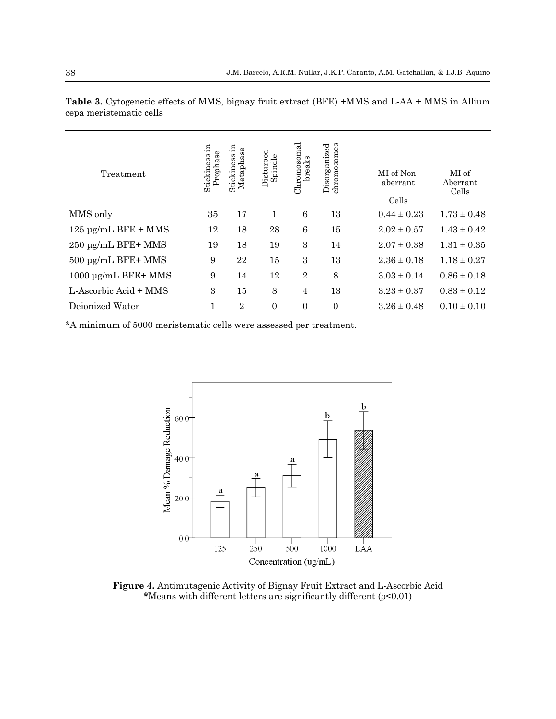| Treatment                | - 드<br>Prophase<br>Stickiness | Stickiness in<br>Metaphase | Disturbed<br>Spindle | Chromosomal<br>breaks | chromosomes<br>Disorganized | MI of Non-<br>aberrant<br>Cells | MI of<br>Aberrant<br>Cells |
|--------------------------|-------------------------------|----------------------------|----------------------|-----------------------|-----------------------------|---------------------------------|----------------------------|
| MMS only                 | 35                            | 17                         | 1                    | 6                     | 13                          | $0.44 \pm 0.23$                 | $1.73 \pm 0.48$            |
| $125 \mu$ g/mL BFE + MMS | 12                            | 18                         | 28                   | 6                     | 15                          | $2.02 \pm 0.57$                 | $1.43 \pm 0.42$            |
| 250 µg/mL BFE+ MMS       | 19                            | 18                         | 19                   | 3                     | 14                          | $2.07 \pm 0.38$                 | $1.31 \pm 0.35$            |
| $500 \mu g/mL$ BFE+ MMS  | 9                             | 22                         | 15                   | 3                     | 13                          | $2.36 \pm 0.18$                 | $1.18 \pm 0.27$            |
| 1000 µg/mL BFE+ MMS      | 9                             | 14                         | 12                   | $\overline{2}$        | 8                           | $3.03 \pm 0.14$                 | $0.86 \pm 0.18$            |
| L-Ascorbic Acid + MMS    | 3                             | 15                         | 8                    | $\overline{4}$        | 13                          | $3.23 \pm 0.37$                 | $0.83 \pm 0.12$            |
| Dejonized Water          | 1                             | $\overline{2}$             | $\overline{0}$       | $\overline{0}$        | $\Omega$                    | $3.26 \pm 0.48$                 | $0.10 \pm 0.10$            |

**Table 3.** Cytogenetic effects of MMS, bignay fruit extract (BFE) +MMS and L-AA + MMS in Allium cepa meristematic cells

\*A minimum of 5000 meristematic cells were assessed per treatment.



**Figure 4.** Antimutagenic Activity of Bignay Fruit Extract and L-Ascorbic Acid **\***Means with different letters are significantly different (ρ<0.01)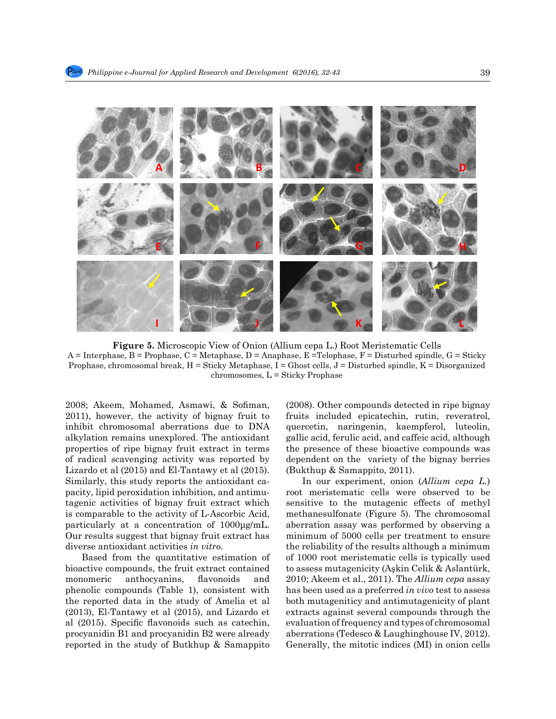

318 **Figure 5. Microscopic View of Onion (***Allium cepa L***.) Root Meristematic Cells Figure 5.** Microscopic View of Onion (Allium cepa L.) Root Meristematic Cells  $A = \text{Interphase}, B = \text{Prophase}, C = \text{Metaphase}, D = \text{Anaphase}, E = \text{Telophase}, F = \text{Disturbed spindle}, G = \text{Sticky}$ Prophase, chromosomal break,  $H =$  Sticky Metaphase,  $I =$  Ghost cells,  $J =$  Disturbed spindle,  $K =$  Disorganized  $chromosomes, L = Sticky Prophase$ 

2011), however, the activity of bignay fruit to fruits included epicatechin, rutin, reveratrol, inhibit chromosomal aberrations due to DNA quercetin, naringenin, kaempferol, luteolin, altridition nome incompleted. The entimidant callie acid familie acid and efficie acid although alkylation remains unexplored. The antioxidant properties of ripe bignay fruit extract in terms the presence of these bioactive compounds was of radical scavenging activity was reported by dependent on the variety of the bignay berries Lizardo et al  $(2015)$  and El-Tantawy et al  $(2015)$ . (Bukthup & Samappito, 2011). Similarly, this study reports the antioxidant ca-<br>329 Similarly, this study reports the antioxidant capacity of the anti-oxidation in higher person in the study<br>329 Similarly, this study reports the higher periodic period pacity, lipid peroxidation inhibition, and antimupactly, uplu peroxidation infinition, and antimutation internsitentially center observed to be tagenic activities of bignay fruit extract which sensitive to the mutagenic effects of methyl is comparable to the activity of L-Ascorbic Acid, methanesulfonate (Figure 5). The chromosomal particularly at a concentration of 1000μg/mL. Our results suggest that bignay fruit extract has diverse antioxidant activities *in vitro*.

Based from the quantitative estimation of bioactive compounds, the fruit extract contained to assess mutagenicity (Askin Celik & Aslantürk, monomeric anthocyanins, flavonoids and phenolic compounds (Table 1), consistent with has been used as a preferred in vivo test to assess the reported data in the study of Amelia et al the reported data in the study of Amelia et all both mutageniticy and antimutagenicity of plant<br>(2013), El-Tantawy et al (2015), and Lizardo et be extracts against several compounds through the al (2015). Specific flavonoids such as catechin, evaluation of frequency and types of chromosomal procyanidin B1 and procyanidin B2 were already reported in the study of Butkhup & Samappito Generally, the mitotic indices (MI) in onion cells monomeric anthocyanins, flavonoids and 2010; Akeem et al., 2011). The *Allium cepa* assay procyanidin B1 and procyanidin B2 were already aberrations (Tedesco & Laughinghouse IV, 2012).

2008; Akeem, Mohamed, Asmawi, & Sofiman, (2008). Other compounds detected in ripe bignay (2008). Other compounds detected in ripe bignay fruits included epicatechin, rutin, reveratrol, quercetin, naringenin, kaempferol, luteolin, gallic acid, ferulic acid, and caffeic acid, although the presence of these bioactive compounds was dependent on the variety of the bignay berries (Bukthup & Samappito, 2011).

In our experiment, onion (*Allium cepa L.*) root meristematic cells were observed to be sensitive to the mutagenic effects of methyl methanesulfonate (Figure 5). The chromosomal aberration assay was performed by observing a minimum of 5000 cells per treatment to ensure the reliability of the results although a minimum diverse antioxidant activities *in ouro*.<br>Based from the quantitative estimation of of 1000 root meristematic cells is typically used to assess mutagenicity (Aşkin Celik & Aslantürk, has been used as a preferred *in vivo* test to assess both mutageniticy and antimutagenicity of plant extracts against several compounds through the evaluation of frequency and types of chromosomal Generally, the mitotic indices (MI) in onion cells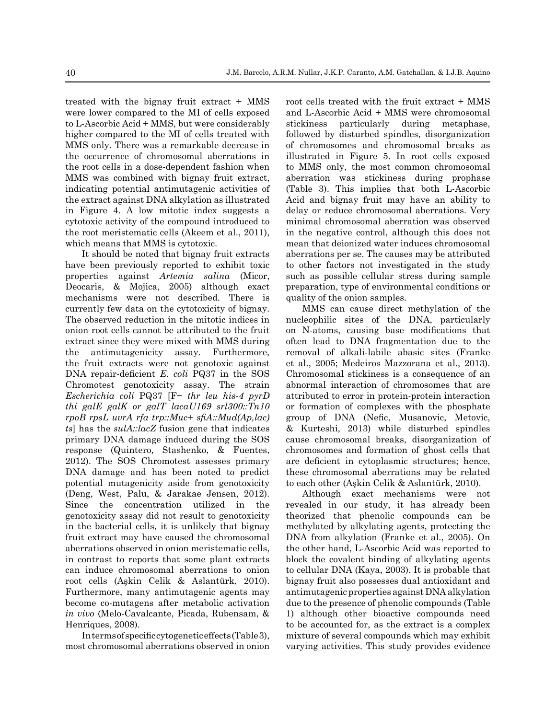treated with the bignay fruit extract + MMS were lower compared to the MI of cells exposed to L-Ascorbic Acid + MMS, but were considerably higher compared to the MI of cells treated with MMS only. There was a remarkable decrease in the occurrence of chromosomal aberrations in the root cells in a dose-dependent fashion when MMS was combined with bignay fruit extract, indicating potential antimutagenic activities of the extract against DNA alkylation as illustrated in Figure 4. A low mitotic index suggests a cytotoxic activity of the compound introduced to the root meristematic cells (Akeem et al., 2011), which means that MMS is cytotoxic.

It should be noted that bignay fruit extracts have been previously reported to exhibit toxic properties against *Artemia salina* (Micor, Deocaris, & Mojica, 2005) although exact mechanisms were not described. There is currently few data on the cytotoxicity of bignay. The observed reduction in the mitotic indices in onion root cells cannot be attributed to the fruit extract since they were mixed with MMS during the antimutagenicity assay. Furthermore, the fruit extracts were not genotoxic against DNA repair-deficient *E. coli* PQ37 in the SOS Chromotest genotoxicity assay. The strain *Escherichia coli* PQ37 [F− *thr leu his-4 pyrD thi galE galK or galT lacαU169 srl300::Tn10 rpoB rpsL uvrA rfa trp::Muc*+ *sfiA::Mud(Ap,lac) ts*] has the *sulA::lacZ* fusion gene that indicates primary DNA damage induced during the SOS response (Quintero, Stashenko, & Fuentes, 2012). The SOS Chromotest assesses primary DNA damage and has been noted to predict potential mutagenicity aside from genotoxicity (Deng, West, Palu, & Jarakae Jensen, 2012). Since the concentration utilized in the genotoxicity assay did not result to genotoxicity in the bacterial cells, it is unlikely that bignay fruit extract may have caused the chromosomal aberrations observed in onion meristematic cells, in contrast to reports that some plant extracts can induce chromosomal aberrations to onion root cells (Aşkin Celik & Aslantürk, 2010). Furthermore, many antimutagenic agents may become co-mutagens after metabolic activation *in vivo* (Melo-Cavalcante, Picada, Rubensam, & Henriques, 2008).

In terms of specific cytogenetic effects (Table 3), most chromosomal aberrations observed in onion root cells treated with the fruit extract + MMS and L-Ascorbic Acid + MMS were chromosomal stickiness particularly during metaphase, followed by disturbed spindles, disorganization of chromosomes and chromosomal breaks as illustrated in Figure 5. In root cells exposed to MMS only, the most common chromosomal aberration was stickiness during prophase (Table 3). This implies that both L-Ascorbic Acid and bignay fruit may have an ability to delay or reduce chromosomal aberrations. Very minimal chromosomal aberration was observed in the negative control, although this does not mean that deionized water induces chromosomal aberrations per se. The causes may be attributed to other factors not investigated in the study such as possible cellular stress during sample preparation, type of environmental conditions or quality of the onion samples.

MMS can cause direct methylation of the nucleophilic sites of the DNA, particularly on N-atoms, causing base modifications that often lead to DNA fragmentation due to the removal of alkali-labile abasic sites (Franke et al., 2005; Medeiros Mazzorana et al., 2013). Chromosomal stickiness is a consequence of an abnormal interaction of chromosomes that are attributed to error in protein-protein interaction or formation of complexes with the phosphate group of DNA (Nefic, Musanovic, Metovic, & Kurteshi, 2013) while disturbed spindles cause chromosomal breaks, disorganization of chromosomes and formation of ghost cells that are deficient in cytoplasmic structures; hence, these chromosomal aberrations may be related to each other (Aşkin Celik & Aslantürk, 2010).

Although exact mechanisms were not revealed in our study, it has already been theorized that phenolic compounds can be methylated by alkylating agents, protecting the DNA from alkylation (Franke et al., 2005). On the other hand, L-Ascorbic Acid was reported to block the covalent binding of alkylating agents to cellular DNA (Kaya, 2003). It is probable that bignay fruit also possesses dual antioxidant and antimutagenic properties against DNA alkylation due to the presence of phenolic compounds (Table 1) although other bioactive compounds need to be accounted for, as the extract is a complex mixture of several compounds which may exhibit varying activities. This study provides evidence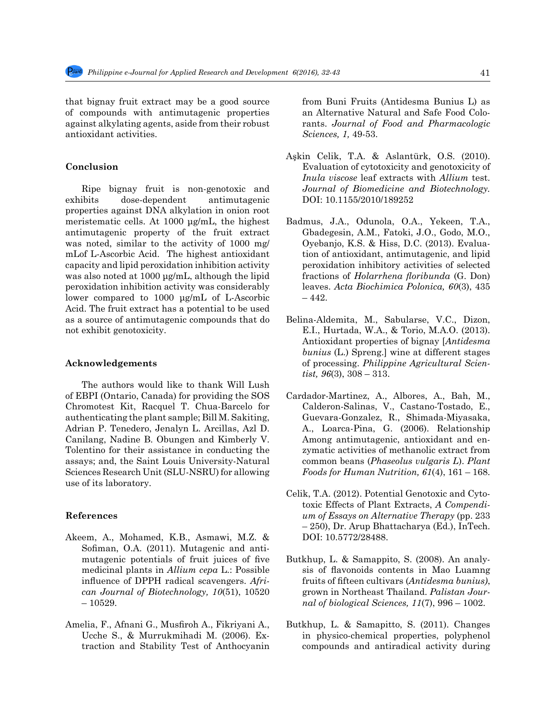that bignay fruit extract may be a good source of compounds with antimutagenic properties against alkylating agents, aside from their robust antioxidant activities.

## **Conclusion**

Ripe bignay fruit is non-genotoxic and exhibits dose-dependent antimutagenic properties against DNA alkylation in onion root meristematic cells. At 1000 μg/mL, the highest antimutagenic property of the fruit extract was noted, similar to the activity of 1000 mg/ mLof L-Ascorbic Acid. The highest antioxidant capacity and lipid peroxidation inhibition activity was also noted at 1000 μg/mL, although the lipid peroxidation inhibition activity was considerably lower compared to 1000 μg/mL of L-Ascorbic Acid. The fruit extract has a potential to be used as a source of antimutagenic compounds that do not exhibit genotoxicity.

# **Acknowledgements**

The authors would like to thank Will Lush of EBPI (Ontario, Canada) for providing the SOS Chromotest Kit, Racquel T. Chua-Barcelo for authenticating the plant sample; Bill M. Sakiting, Adrian P. Tenedero, Jenalyn L. Arcillas, Azl D. Canilang, Nadine B. Obungen and Kimberly V. Tolentino for their assistance in conducting the assays; and, the Saint Louis University-Natural Sciences Research Unit (SLU-NSRU) for allowing use of its laboratory.

#### **References**

- Akeem, A., Mohamed, K.B., Asmawi, M.Z. & Sofiman, O.A. (2011). Mutagenic and antimutagenic potentials of fruit juices of five medicinal plants in *Allium cepa* L.: Possible influence of DPPH radical scavengers. *African Journal of Biotechnology, 10*(51), 10520  $-10529.$
- Amelia, F., Afnani G., Musfiroh A., Fikriyani A., Ucche S., & Murrukmihadi M. (2006). Extraction and Stability Test of Anthocyanin

from Buni Fruits (Antidesma Bunius L) as an Alternative Natural and Safe Food Colorants. *Journal of Food and Pharmacologic Sciences, 1,* 49-53.

- Aşkin Celik, T.A. & Aslantürk, O.S. (2010). Evaluation of cytotoxicity and genotoxicity of *Inula viscose* leaf extracts with *Allium* test. *Journal of Biomedicine and Biotechnology.* DOI: 10.1155/2010/189252
- Badmus, J.A., Odunola, O.A., Yekeen, T.A., Gbadegesin, A.M., Fatoki, J.O., Godo, M.O., Oyebanjo, K.S. & Hiss, D.C. (2013). Evaluation of antioxidant, antimutagenic, and lipid peroxidation inhibitory activities of selected fractions of *Holarrhena floribunda* (G. Don) leaves. *Acta Biochimica Polonica, 60*(3), 435 – 442.
- Belina-Aldemita, M., Sabularse, V.C., Dizon, E.I., Hurtada, W.A., & Torio, M.A.O. (2013). Antioxidant properties of bignay [*Antidesma bunius* (L.) Spreng.] wine at different stages of processing. *Philippine Agricultural Scientist, 96*(3), 308 – 313.
- Cardador-Martinez, A., Albores, A., Bah, M., Calderon-Salinas, V., Castano-Tostado, E., Guevara-Gonzalez, R., Shimada-Miyasaka, A., Loarca-Pina, G. (2006). Relationship Among antimutagenic, antioxidant and enzymatic activities of methanolic extract from common beans (*Phaseolus vulgaris L*). *Plant Foods for Human Nutrition, 61*(4), 161 – 168.
- Celik, T.A. (2012). Potential Genotoxic and Cytotoxic Effects of Plant Extracts, *A Compendium of Essays on Alternative Therapy* (pp. 233 – 250), Dr. Arup Bhattacharya (Ed.), InTech. DOI: 10.5772/28488.
- Butkhup, L. & Samappito, S. (2008). An analysis of flavonoids contents in Mao Luamng fruits of fifteen cultivars (*Antidesma bunius)*, grown in Northeast Thailand. *Palistan Journal of biological Sciences, 11*(7), 996 – 1002.
- Butkhup, L. & Samapitto, S. (2011). Changes in physico-chemical properties, polyphenol compounds and antiradical activity during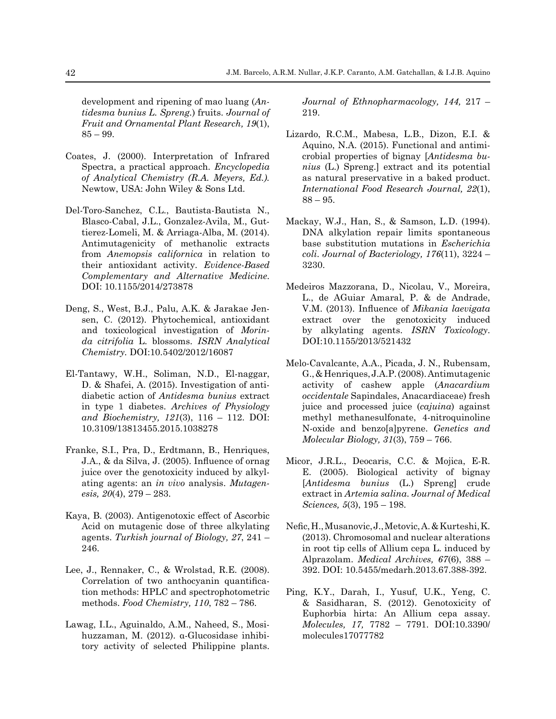development and ripening of mao luang (*Antidesma bunius L. Spreng.*) fruits. *Journal of Fruit and Ornamental Plant Research, 19*(1), 85 – 99.

- Coates, J. (2000). Interpretation of Infrared Spectra, a practical approach. *Encyclopedia of Analytical Chemistry (R.A. Meyers, Ed.).*  Newtow, USA: John Wiley & Sons Ltd.
- Del-Toro-Sanchez, C.L., Bautista-Bautista N., Blasco-Cabal, J.L., Gonzalez-Avila, M., Guttierez-Lomeli, M. & Arriaga-Alba, M. (2014). Antimutagenicity of methanolic extracts from *Anemopsis californica* in relation to their antioxidant activity. *Evidence-Based Complementary and Alternative Medicine*. DOI: 10.1155/2014/273878
- Deng, S., West, B.J., Palu, A.K. & Jarakae Jensen, C. (2012). Phytochemical, antioxidant and toxicological investigation of *Morinda citrifolia* L. blossoms. *ISRN Analytical Chemistry.* DOI:10.5402/2012/16087
- El-Tantawy, W.H., Soliman, N.D., El-naggar, D. & Shafei, A. (2015). Investigation of antidiabetic action of *Antidesma bunius* extract in type 1 diabetes. *Archives of Physiology and Biochemistry, 121*(3), 116 – 112. DOI: 10.3109/13813455.2015.1038278
- Franke, S.I., Pra, D., Erdtmann, B., Henriques, J.A., & da Silva, J. (2005). Influence of ornag juice over the genotoxicity induced by alkylating agents: an *in vivo* analysis. *Mutagenesis, 20*(4), 279 – 283.
- Kaya, B. (2003). Antigenotoxic effect of Ascorbic Acid on mutagenic dose of three alkylating agents. *Turkish journal of Biology, 27*, 241 – 246.
- Lee, J., Rennaker, C., & Wrolstad, R.E. (2008). Correlation of two anthocyanin quantification methods: HPLC and spectrophotometric methods. *Food Chemistry, 110*, 782 – 786.
- Lawag, I.L., Aguinaldo, A.M., Naheed, S., Mosihuzzaman, M. (2012). α-Glucosidase inhibitory activity of selected Philippine plants.

*Journal of Ethnopharmacology, 144,* 217 – 219.

- Lizardo, R.C.M., Mabesa, L.B., Dizon, E.I. & Aquino, N.A. (2015). Functional and antimicrobial properties of bignay [*Antidesma bunius* (L.) Spreng.] extract and its potential as natural preservative in a baked product. *International Food Research Journal, 22*(1),  $88 - 95.$
- Mackay, W.J., Han, S., & Samson, L.D. (1994). DNA alkylation repair limits spontaneous base substitution mutations in *Escherichia coli*. *Journal of Bacteriology, 176*(11), 3224 – 3230.
- Medeiros Mazzorana, D., Nicolau, V., Moreira, L., de AGuiar Amaral, P. & de Andrade, V.M. (2013). Influence of *Mikania laevigata*  extract over the genotoxicity induced by alkylating agents. *ISRN Toxicology*. DOI:10.1155/2013/521432
- Melo-Cavalcante, A.A., Picada, J. N., Rubensam, G., & Henriques, J.A.P. (2008). Antimutagenic activity of cashew apple (*Anacardium occidentale* Sapindales, Anacardiaceae) fresh juice and processed juice (*cajuina*) against methyl methanesulfonate, 4-nitroquinoline N-oxide and benzo[a]pyrene. *Genetics and Molecular Biology, 31*(3), 759 – 766.
- Micor, J.R.L., Deocaris, C.C. & Mojica, E-R. E. (2005). Biological activity of bignay [*Antidesma bunius* (L.) Spreng] crude extract in *Artemia salina*. *Journal of Medical Sciences, 5*(3), 195 – 198.
- Nefic, H., Musanovic, J., Metovic, A. & Kurteshi, K. (2013). Chromosomal and nuclear alterations in root tip cells of Allium cepa L. induced by Alprazolam. *Medical Archives, 67*(6), 388 – 392. DOI: 10.5455/medarh.2013.67.388-392.
- Ping, K.Y., Darah, I., Yusuf, U.K., Yeng, C. & Sasidharan, S. (2012). Genotoxicity of Euphorbia hirta: An Allium cepa assay. *Molecules, 17,* 7782 – 7791. DOI:10.3390/ molecules17077782